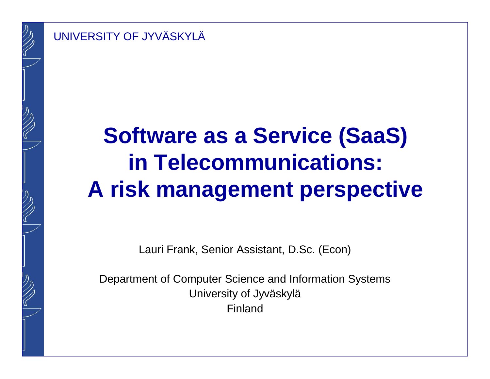

# **Software as a Service (SaaS) in Telecommunications: A risk management perspective**

Lauri Frank, Senior Assistant, D.Sc. (Econ)

Department of Computer Science and Information SystemsUniversity of JyväskyläFinland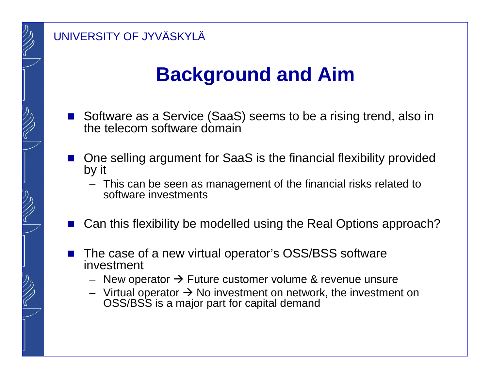## **Background and Aim**

- $\mathbb{R}^2$  Software as a Service (SaaS) seems to be a rising trend, also in the telecom software domain
- $\mathcal{L}_{\mathcal{A}}$  One selling argument for SaaS is the financial flexibility provided by it
	- – This can be seen as management of the financial risks related to software investments
- $\mathcal{L}_{\mathcal{A}}$ Can this flexibility be modelled using the Real Options approach?
- $\mathcal{L}_{\mathcal{A}}$  The case of a new virtual operator's OSS/BSS software investment
	- New operator → Future customer volume & revenue unsure<br>– Virtual operator → No investment on network, the investmer
	- Virtual operator → No investment on network, the investment on<br>OSS/BSS is a maior part for capital demand OSS/BSS is a major part for capital demand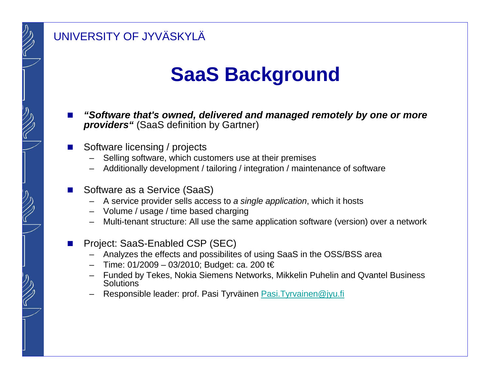### **SaaS Background**

- Π **"Software that's owned, delivered and managed remotely by one or more providers"** (SaaS definition by Gartner)
- Π Software licensing / projects
	- –Selling software, which customers use at their premises
	- Additionally development / tailoring / integration / maintenance of software
- Π Software as a Service (SaaS)
	- A service provider sells access to a single application, which it hosts
	- Volume / usage / time based charging
	- Multi-tenant structure: All use the same application software (version) over a network

#### Project: SaaS-Enabled CSP (SEC)

- –Analyzes the effects and possibilites of using SaaS in the OSS/BSS area
- Time: 01/2009 03/2010; Budget: ca. 200 t€
- Funded by Tekes, Nokia Siemens Networks, Mikkelin Puhelin and Qvantel Business<br>Solutions
- Responsible leader: prof. Pasi Tyrväinen Pasi.Tyrvainen@jyu.fi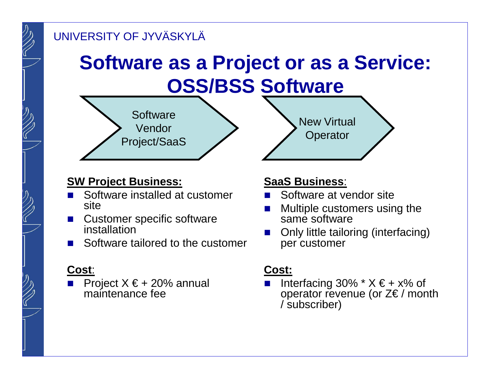## **Software as a Project or as a Service:OSS/BSS Software**



#### **SW Project Business:**

- L. Software installed at customer site
- Customer specific software installation
- Software tailored to the customer F.

### **Cost**:

Project  $X \in 20\%$  annual<br>maintenance foo maintenance fee

#### **SaaS Business**:

У. Software at vendor site

New Virtual

**Operator** 

- $\mathbb{R}^3$  Multiple customers using the same software
- $\mathcal{L}_{\mathcal{A}}$  Only little tailoring (interfacing) per customer

#### **Cost:**

 $\mathcal{L}_{\mathcal{A}}$ Interfacing 30%  $*$  X  $\in$  + x% of operator revenue (or  $Z \in \mathcal{E}$  / month / subscriber)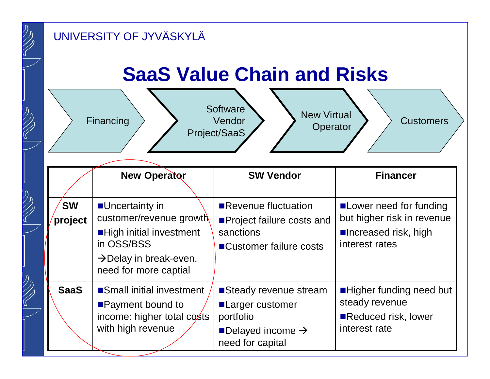| クク                                                                | UNIVERSITY OF JYVÄSKYLÄ                                                                                                    |                                                                                                                                                          |                                                                                                            |                                                                                                   |  |  |  |  |  |  |  |
|-------------------------------------------------------------------|----------------------------------------------------------------------------------------------------------------------------|----------------------------------------------------------------------------------------------------------------------------------------------------------|------------------------------------------------------------------------------------------------------------|---------------------------------------------------------------------------------------------------|--|--|--|--|--|--|--|
|                                                                   | <b>SaaS Value Chain and Risks</b><br>Software<br><b>New Virtual</b><br>Vendor<br>Financing<br><b>Customers</b><br>Operator |                                                                                                                                                          |                                                                                                            |                                                                                                   |  |  |  |  |  |  |  |
|                                                                   |                                                                                                                            | <b>New Operator</b>                                                                                                                                      | Project/SaaS<br><b>SW Vendor</b>                                                                           | <b>Financer</b>                                                                                   |  |  |  |  |  |  |  |
| リンク                                                               | <b>SW</b><br>project                                                                                                       | Uncertainty in<br>customer/revenue growth<br><b>High initial investment</b><br>in OSS/BSS<br>$\rightarrow$ Delay in break-even,<br>need for more captial | Revenue fluctuation<br>■Project failure costs and<br>sanctions<br>■Customer failure costs                  | ■ Lower need for funding<br>but higher risk in revenue<br>■Increased risk, high<br>interest rates |  |  |  |  |  |  |  |
| $\overline{\mathcal{D}}_{\mathcal{D}}$<br>$\widehat{\mathcal{C}}$ | <b>SaaS</b>                                                                                                                | Small initial investment<br><b>Payment bound to</b><br>income: higher total costs<br>with high revenue                                                   | Steady revenue stream<br>■Larger customer<br>portfolio<br>Delayed income $\rightarrow$<br>need for capital | ■Higher funding need but<br>steady revenue<br>Reduced risk, lower<br>interest rate                |  |  |  |  |  |  |  |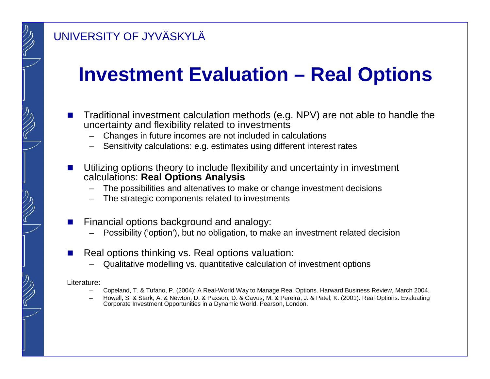### **Investment Evaluation – Real Options**

- Π Traditional investment calculation methods (e.g. NPV) are not able to handle the uncertainty and flexibility related to investments
	- Changes in future incomes are not included in calculations–
	- Sensitivity calculations: e.g. estimates using different interest rates
- Π Utilizing options theory to include flexibility and uncertainty in investment calculations: **Real Options Analysis**
	- The possibilities and altenatives to make or change investment decisions
	- The strategic components related to investments
- Π Financial options background and analogy:
	- Possibility ('option'), but no obligation, to make an investment related decision
- F. Real options thinking vs. Real options valuation:
	- Qualitative modelling vs. quantitative calculation of investment options

#### Literature:

- Copeland, T. & Tufano, P. (2004): A Real-World Way to Manage Real Options. Harward Business Review, March 2004.
- Howell, S. & Stark, A. & Newton, D. & Paxson, D. & Cavus, M. & Pereira, J. & Patel, K. (2001): Real Options. EvaluatingCorporate Investment Opportunities in a Dynamic World. Pearson, London.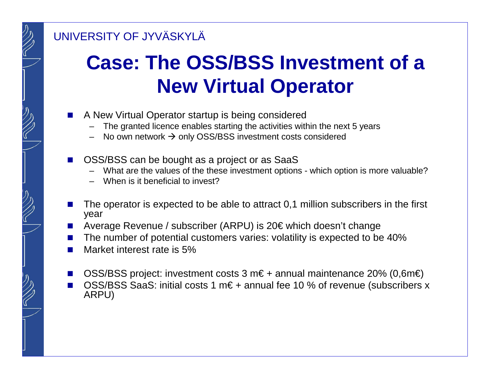## **Case: The OSS/BSS Investment of a New Virtual Operator**

- Π A New Virtual Operator startup is being considered
	- The granted licence enables starting the activities within the next 5 years
	- –No own network → only OSS/BSS investment costs considered
- Π OSS/BSS can be bought as a project or as SaaS
	- What are the values of the these investment options which option is more valuable?
	- –When is it beneficial to invest?
- Π The operator is expected to be able to attract 0,1 million subscribers in the first year
- Π Average Revenue / subscriber (ARPU) is 20€ which doesn't change
- Π The number of potential customers varies: volatility is expected to be 40%
- Π Market interest rate is 5%
- F. OSS/BSS project: investment costs 3 m€ + annual maintenance 20% (0,6m€)
- Π OSS/BSS SaaS: initial costs 1 m€ + annual fee 10 % of revenue (subscribers x ARPU)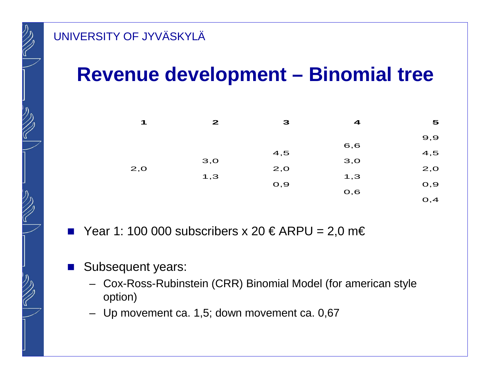### **Revenue development – Binomial tree**

| $\blacktriangleleft$ | $\mathbf{z}$ | 3   | 4    | 5    |
|----------------------|--------------|-----|------|------|
|                      |              |     |      | 9,9  |
|                      |              | 4,5 | 6,6  | 4,5  |
| 2,0                  | 3,0          | 2,0 | 3,0  | 2,0  |
|                      | 1,3          | O,9 | 1,3  | O,9  |
|                      |              |     | O, 6 | O, 4 |
|                      |              |     |      |      |

- $\mathbb{R}^2$ Year 1: 100 000 subscribers x 20  $\in$  ARPU = 2,0 m $\in$
- $\mathcal{L}^{\text{max}}$  Subsequent years:
	- Cox-Ross-Rubinstein (CRR) Binomial Model (for american styleoption)
	- Up movement ca. 1,5; down movement ca. 0,67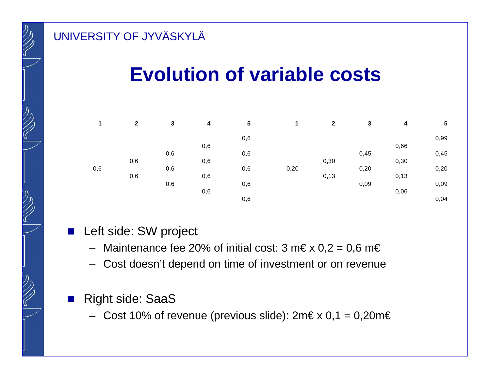### **Evolution of variable costs**

|     | $\overline{2}$ | 3   | $\overline{\mathbf{4}}$ | 5   | 1    | $\mathbf{2}$ | 3    | 4    | $\sqrt{5}$ |
|-----|----------------|-----|-------------------------|-----|------|--------------|------|------|------------|
|     |                |     |                         | 0,6 |      |              |      |      | 0,99       |
|     |                |     | 0,6                     |     |      |              |      | 0,66 |            |
|     |                | 0,6 |                         | 0,6 |      |              | 0,45 |      | 0,45       |
|     | 0,6            |     | 0,6                     |     |      | 0,30         |      | 0,30 |            |
| 0,6 |                | 0,6 |                         | 0,6 | 0,20 |              | 0,20 |      | 0,20       |
|     | 0,6            |     | 0,6                     |     |      | 0,13         |      | 0,13 |            |
|     |                | 0,6 |                         | 0,6 |      |              | 0,09 |      | 0,09       |
|     |                |     | 0,6                     |     |      |              |      | 0,06 |            |
|     |                |     |                         | 0,6 |      |              |      |      | 0,04       |

- Left side: SW project
	- $-$  Maintenance fee 20% of initial cost: 3 m€ x 0,2 = 0,6 m€
	- Cost doesn't depend on time of investment or on revenue

#### $\mathcal{L}_{\mathcal{A}}$ Right side: SaaS

 $-$  Cost 10% of revenue (previous slide): 2m€ x 0,1 = 0,20m€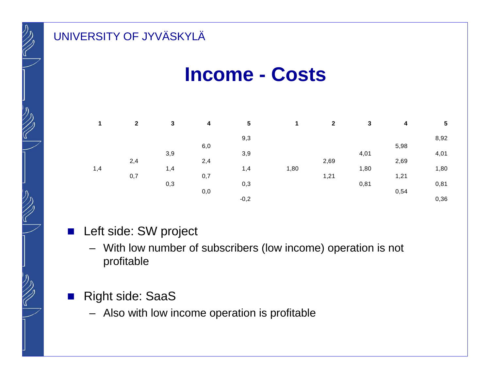### **Income - Costs**

|     | $\mathbf 2$ | 3   | 4   | 5      |      | $\mathbf{2}$ | 3    | 4    | $5\phantom{1}$ |
|-----|-------------|-----|-----|--------|------|--------------|------|------|----------------|
|     |             |     |     | 9,3    |      |              |      |      | 8,92           |
|     |             |     | 6,0 |        |      |              |      | 5,98 |                |
|     |             | 3,9 |     | 3,9    |      |              | 4,01 |      | 4,01           |
|     | 2,4         |     | 2,4 |        |      | 2,69         |      | 2,69 |                |
| 1,4 |             | 1,4 |     | 1,4    | 1,80 |              | 1,80 |      | 1,80           |
|     | 0,7         |     | 0,7 |        |      | 1,21         |      | 1,21 |                |
|     |             | 0,3 |     | 0,3    |      |              | 0,81 |      | 0,81           |
|     |             |     | 0,0 |        |      |              |      | 0,54 |                |
|     |             |     |     | $-0,2$ |      |              |      |      | 0,36           |

- Left side: SW project
	- With low number of subscribers (low income) operation is not profitable
- $\mathcal{L}^{\text{max}}$  Right side: SaaS
	- Also with low income operation is profitable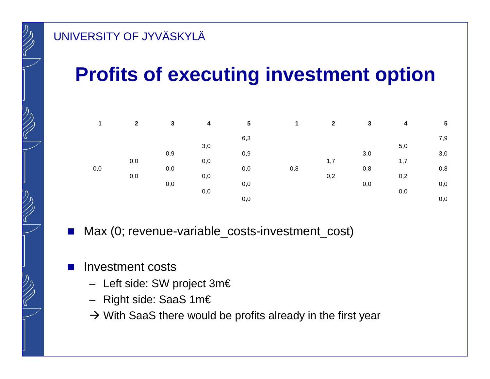## **Profits of executing investment option**

|     | $\mathbf{2}$ | 3   | 4   | 5   | 1   | $\mathbf{2}$ | 3   | 4   | $\sqrt{5}$ |
|-----|--------------|-----|-----|-----|-----|--------------|-----|-----|------------|
|     |              |     |     | 6,3 |     |              |     |     | 7,9        |
|     |              |     | 3,0 |     |     |              |     | 5,0 |            |
|     |              | 0,9 |     | 0,9 |     |              | 3,0 |     | 3,0        |
|     | 0,0          |     | 0,0 |     |     | 1,7          |     | 1,7 |            |
| 0,0 |              | 0,0 |     | 0,0 | 0,8 |              | 0,8 |     | 0,8        |
|     | 0,0          |     | 0,0 |     |     | 0,2          |     | 0,2 |            |
|     |              | 0,0 |     | 0,0 |     |              | 0,0 |     | 0,0        |
|     |              |     | 0,0 |     |     |              |     | 0,0 |            |
|     |              |     |     | 0,0 |     |              |     |     | 0,0        |

- $\sim$ Max (0; revenue-variable\_costs-investment\_cost)
- $\mathcal{L}_{\mathcal{A}}$  Investment costs
	- Left side: SW project 3m€
	- Right side: SaaS 1m€
	- → With SaaS there would be profits already in the first year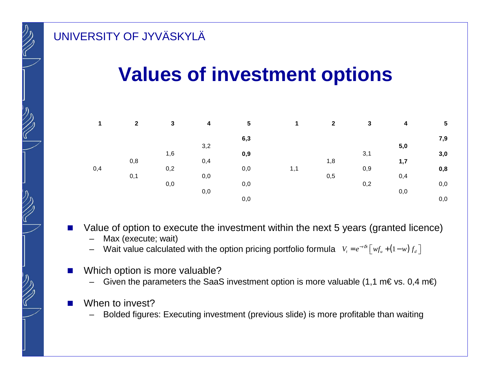### **Values of investment options**

|     | $\overline{2}$ | 3   | $\boldsymbol{4}$ | 5   | 1   | $\mathbf{2}$ | 3   | 4   | $5\phantom{.0}$ |
|-----|----------------|-----|------------------|-----|-----|--------------|-----|-----|-----------------|
|     |                |     |                  | 6,3 |     |              |     |     | 7,9             |
|     |                |     | 3,2              |     |     |              |     | 5,0 |                 |
|     |                | 1,6 |                  | 0,9 |     |              | 3,1 |     | 3,0             |
|     | 0,8            |     | 0,4              |     |     | 1,8          |     | 1,7 |                 |
| 0,4 |                | 0,2 |                  | 0,0 | 1,1 |              | 0,9 |     | 0,8             |
|     | 0,1            |     | 0,0              |     |     | 0,5          |     | 0,4 |                 |
|     |                | 0,0 |                  | 0,0 |     |              | 0,2 |     | 0,0             |
|     |                |     | 0,0              |     |     |              |     | 0,0 |                 |
|     |                |     |                  | 0,0 |     |              |     |     | 0,0             |

- Value of option to execute the investment within the next 5 years (granted licence)
	- –Max (execute; wait)
	- Wait value calculated with the option pricing portfolio formula  $V_t = e^{-r\delta t} \left[ w f_u + (1 w) f_d \right]$
- Π Which option is more valuable?
	- –Given the parameters the SaaS investment option is more valuable (1,1 m€ vs. 0,4 m€)
- When to invest?
	- –Bolded figures: Executing investment (previous slide) is more profitable than waiting